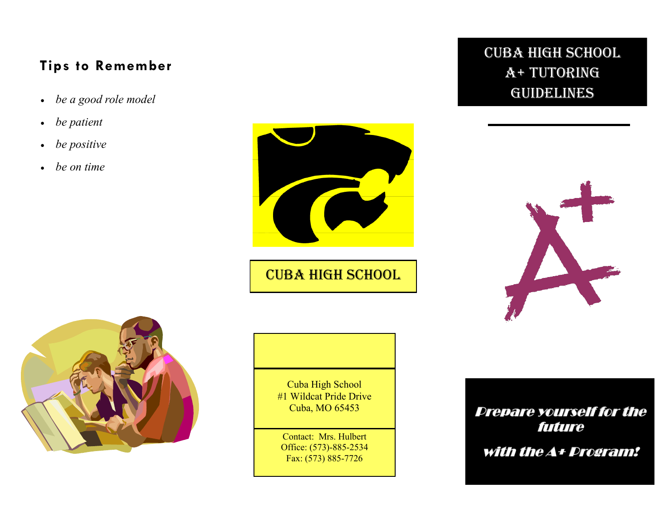## **Tips to Remember**

- 
- *be patient*
- *be positive*
- *be on time*



**CUBA HIGH SCHOOL** 







Cuba High School #1 Wildcat Pride Drive Cuba, MO 65453

Contact: Mrs. Hulbert Office: (573)-885-2534 Fax: (573) 885-7726

## **Prepare yourself for the future**

with the A+ Program!